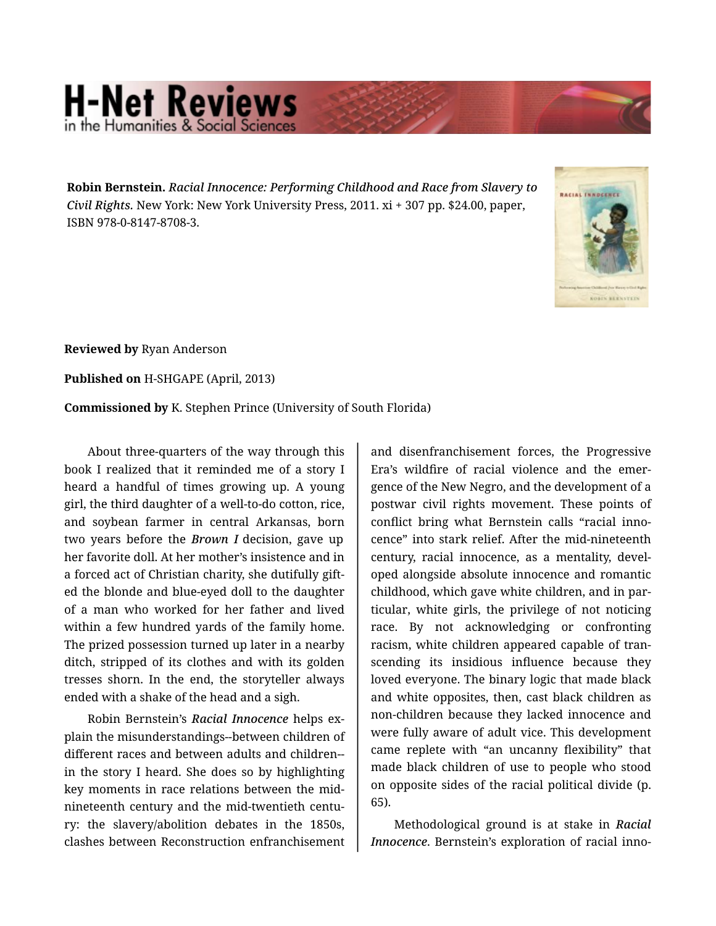## **H-Net Reviews** in the Humanities & Social S

**Robin Bernstein.** *Racial Innocence: Performing Childhood and Race from Slavery to Civil Rights.* New York: New York University Press, 2011. xi + 307 pp. \$24.00, paper, ISBN 978-0-8147-8708-3.



**Reviewed by** Ryan Anderson

**Published on** H-SHGAPE (April, 2013)

**Commissioned by** K. Stephen Prince (University of South Florida)

About three-quarters of the way through this book I realized that it reminded me of a story I heard a handful of times growing up. A young girl, the third daughter of a well-to-do cotton, rice, and soybean farmer in central Arkansas, born two years before the *Brown I* decision, gave up her favorite doll. At her mother's insistence and in a forced act of Christian charity, she dutifully gift‐ ed the blonde and blue-eyed doll to the daughter of a man who worked for her father and lived within a few hundred yards of the family home. The prized possession turned up later in a nearby ditch, stripped of its clothes and with its golden tresses shorn. In the end, the storyteller always ended with a shake of the head and a sigh.

Robin Bernstein's *Racial Innocence* helps ex‐ plain the misunderstandings--between children of different races and between adults and children- in the story I heard. She does so by highlighting key moments in race relations between the midnineteenth century and the mid-twentieth centu‐ ry: the slavery/abolition debates in the 1850s, clashes between Reconstruction enfranchisement

and disenfranchisement forces, the Progressive Era's wildfire of racial violence and the emer‐ gence of the New Negro, and the development of a postwar civil rights movement. These points of conflict bring what Bernstein calls "racial inno‐ cence" into stark relief. After the mid-nineteenth century, racial innocence, as a mentality, devel‐ oped alongside absolute innocence and romantic childhood, which gave white children, and in par‐ ticular, white girls, the privilege of not noticing race. By not acknowledging or confronting racism, white children appeared capable of tran‐ scending its insidious influence because they loved everyone. The binary logic that made black and white opposites, then, cast black children as non-children because they lacked innocence and were fully aware of adult vice. This development came replete with "an uncanny flexibility" that made black children of use to people who stood on opposite sides of the racial political divide (p. 65).

Methodological ground is at stake in *Racial Innocence*. Bernstein's exploration of racial inno‐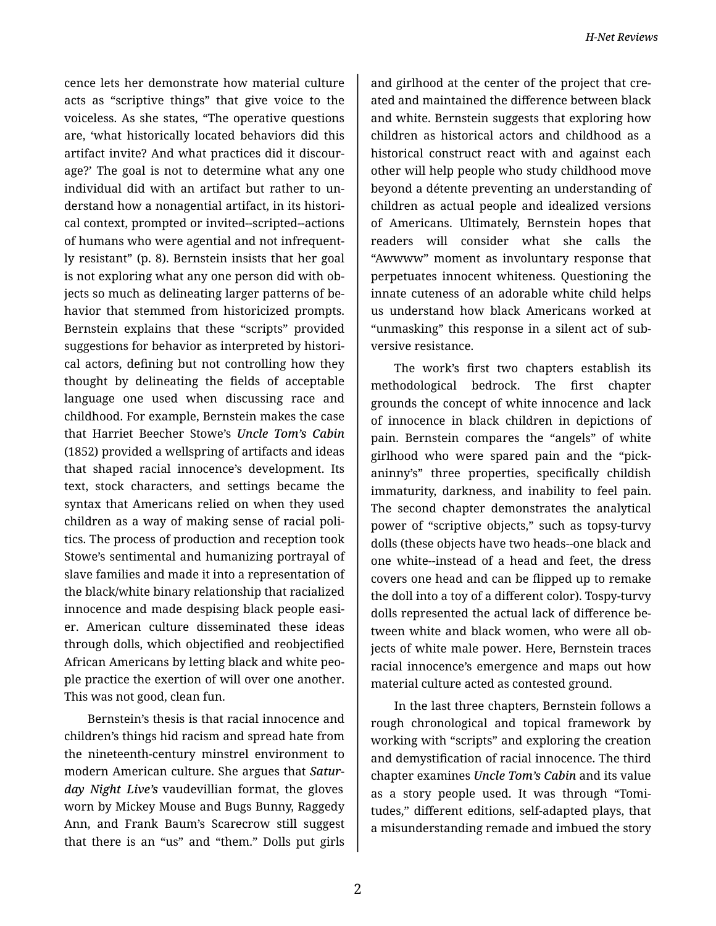cence lets her demonstrate how material culture acts as "scriptive things" that give voice to the voiceless. As she states, "The operative questions are, 'what historically located behaviors did this artifact invite? And what practices did it discour‐ age?' The goal is not to determine what any one individual did with an artifact but rather to un‐ derstand how a nonagential artifact, in its histori‐ cal context, prompted or invited--scripted--actions of humans who were agential and not infrequent‐ ly resistant" (p. 8). Bernstein insists that her goal is not exploring what any one person did with objects so much as delineating larger patterns of be‐ havior that stemmed from historicized prompts. Bernstein explains that these "scripts" provided suggestions for behavior as interpreted by histori‐ cal actors, defining but not controlling how they thought by delineating the fields of acceptable language one used when discussing race and childhood. For example, Bernstein makes the case that Harriet Beecher Stowe's *Uncle Tom's Cabin* (1852) provided a wellspring of artifacts and ideas that shaped racial innocence's development. Its text, stock characters, and settings became the syntax that Americans relied on when they used children as a way of making sense of racial poli‐ tics. The process of production and reception took Stowe's sentimental and humanizing portrayal of slave families and made it into a representation of the black/white binary relationship that racialized innocence and made despising black people easi‐ er. American culture disseminated these ideas through dolls, which objectified and reobjectified African Americans by letting black and white peo‐ ple practice the exertion of will over one another. This was not good, clean fun.

Bernstein's thesis is that racial innocence and children's things hid racism and spread hate from the nineteenth-century minstrel environment to modern American culture. She argues that *Satur‐ day Night Live's* vaudevillian format, the gloves worn by Mickey Mouse and Bugs Bunny, Raggedy Ann, and Frank Baum's Scarecrow still suggest that there is an "us" and "them." Dolls put girls

and girlhood at the center of the project that cre‐ ated and maintained the difference between black and white. Bernstein suggests that exploring how children as historical actors and childhood as a historical construct react with and against each other will help people who study childhood move beyond a détente preventing an understanding of children as actual people and idealized versions of Americans. Ultimately, Bernstein hopes that readers will consider what she calls the "Awwww" moment as involuntary response that perpetuates innocent whiteness. Questioning the innate cuteness of an adorable white child helps us understand how black Americans worked at "unmasking" this response in a silent act of sub‐ versive resistance.

The work's first two chapters establish its methodological bedrock. The first chapter grounds the concept of white innocence and lack of innocence in black children in depictions of pain. Bernstein compares the "angels" of white girlhood who were spared pain and the "pick‐ aninny's" three properties, specifically childish immaturity, darkness, and inability to feel pain. The second chapter demonstrates the analytical power of "scriptive objects," such as topsy-turvy dolls (these objects have two heads--one black and one white--instead of a head and feet, the dress covers one head and can be flipped up to remake the doll into a toy of a different color). Tospy-turvy dolls represented the actual lack of difference be‐ tween white and black women, who were all ob‐ jects of white male power. Here, Bernstein traces racial innocence's emergence and maps out how material culture acted as contested ground.

In the last three chapters, Bernstein follows a rough chronological and topical framework by working with "scripts" and exploring the creation and demystification of racial innocence. The third chapter examines *Uncle Tom's Cabin* and its value as a story people used. It was through "Tomi‐ tudes," different editions, self-adapted plays, that a misunderstanding remade and imbued the story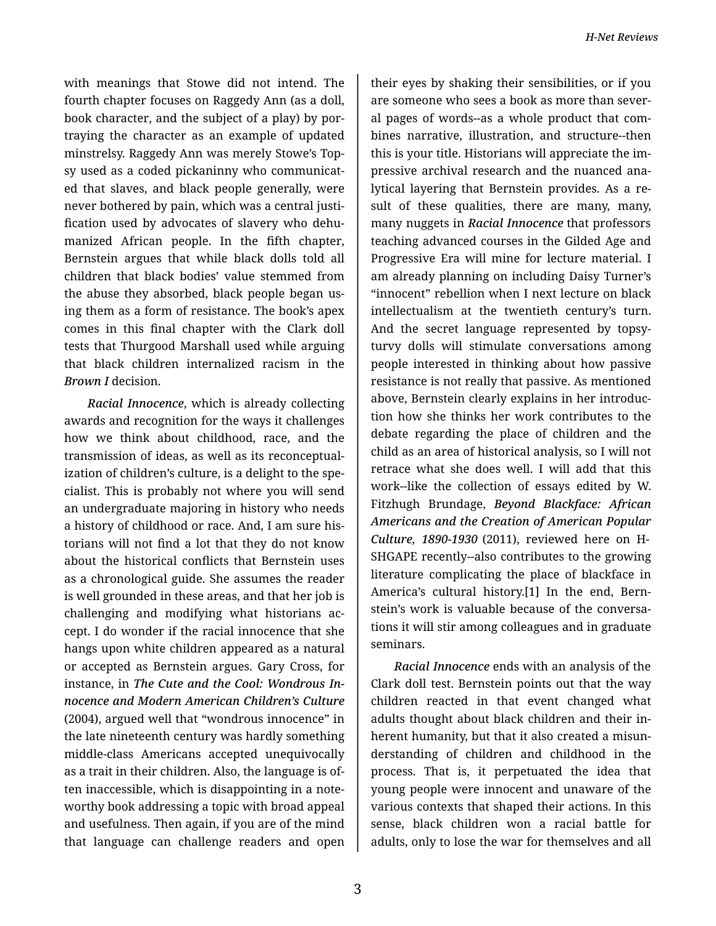with meanings that Stowe did not intend. The fourth chapter focuses on Raggedy Ann (as a doll, book character, and the subject of a play) by por‐ traying the character as an example of updated minstrelsy. Raggedy Ann was merely Stowe's Top‐ sy used as a coded pickaninny who communicat‐ ed that slaves, and black people generally, were never bothered by pain, which was a central justi‐ fication used by advocates of slavery who dehu‐ manized African people. In the fifth chapter, Bernstein argues that while black dolls told all children that black bodies' value stemmed from the abuse they absorbed, black people began us‐ ing them as a form of resistance. The book's apex comes in this final chapter with the Clark doll tests that Thurgood Marshall used while arguing that black children internalized racism in the *Brown I* decision.

*Racial Innocence*, which is already collecting awards and recognition for the ways it challenges how we think about childhood, race, and the transmission of ideas, as well as its reconceptual‐ ization of children's culture, is a delight to the spe‐ cialist. This is probably not where you will send an undergraduate majoring in history who needs a history of childhood or race. And, I am sure his‐ torians will not find a lot that they do not know about the historical conflicts that Bernstein uses as a chronological guide. She assumes the reader is well grounded in these areas, and that her job is challenging and modifying what historians ac‐ cept. I do wonder if the racial innocence that she hangs upon white children appeared as a natural or accepted as Bernstein argues. Gary Cross, for instance, in *The Cute and the Cool: Wondrous In‐ nocence and Modern American Children's Culture* (2004), argued well that "wondrous innocence" in the late nineteenth century was hardly something middle-class Americans accepted unequivocally as a trait in their children. Also, the language is of‐ ten inaccessible, which is disappointing in a note‐ worthy book addressing a topic with broad appeal and usefulness. Then again, if you are of the mind that language can challenge readers and open

their eyes by shaking their sensibilities, or if you are someone who sees a book as more than sever‐ al pages of words--as a whole product that com‐ bines narrative, illustration, and structure--then this is your title. Historians will appreciate the im‐ pressive archival research and the nuanced ana‐ lytical layering that Bernstein provides. As a re‐ sult of these qualities, there are many, many, many nuggets in *Racial Innocence* that professors teaching advanced courses in the Gilded Age and Progressive Era will mine for lecture material. I am already planning on including Daisy Turner's "innocent" rebellion when I next lecture on black intellectualism at the twentieth century's turn. And the secret language represented by topsyturvy dolls will stimulate conversations among people interested in thinking about how passive resistance is not really that passive. As mentioned above, Bernstein clearly explains in her introduc‐ tion how she thinks her work contributes to the debate regarding the place of children and the child as an area of historical analysis, so I will not retrace what she does well. I will add that this work--like the collection of essays edited by W. Fitzhugh Brundage, *Beyond Blackface: African Americans and the Creation of American Popular Culture, 1890-1930* (2011), reviewed here on H-SHGAPE recently--also contributes to the growing literature complicating the place of blackface in America's cultural history.[1] In the end, Bern‐ stein's work is valuable because of the conversa‐ tions it will stir among colleagues and in graduate seminars.

*Racial Innocence* ends with an analysis of the Clark doll test. Bernstein points out that the way children reacted in that event changed what adults thought about black children and their in‐ herent humanity, but that it also created a misun‐ derstanding of children and childhood in the process. That is, it perpetuated the idea that young people were innocent and unaware of the various contexts that shaped their actions. In this sense, black children won a racial battle for adults, only to lose the war for themselves and all